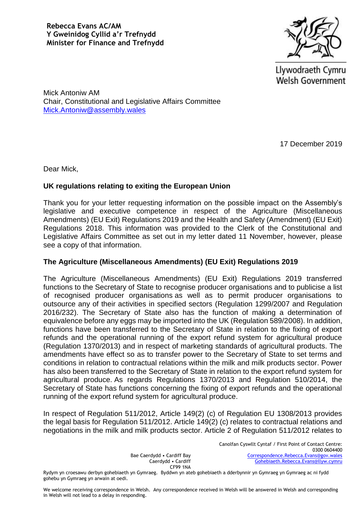

Llywodraeth Cymru **Welsh Government** 

Mick Antoniw AM Chair, Constitutional and Legislative Affairs Committee [Mick.Antoniw@assembly.wales](mailto:Mick.Antoniw@assembly.wales)

17 December 2019

Dear Mick,

## **UK regulations relating to exiting the European Union**

Thank you for your letter requesting information on the possible impact on the Assembly's legislative and executive competence in respect of the Agriculture (Miscellaneous Amendments) (EU Exit) Regulations 2019 and the Health and Safety (Amendment) (EU Exit) Regulations 2018. This information was provided to the Clerk of the Constitutional and Legislative Affairs Committee as set out in my letter dated 11 November, however, please see a copy of that information.

## **The Agriculture (Miscellaneous Amendments) (EU Exit) Regulations 2019**

The Agriculture (Miscellaneous Amendments) (EU Exit) Regulations 2019 transferred functions to the Secretary of State to recognise producer organisations and to publicise a list of recognised producer organisations as well as to permit producer organisations to outsource any of their activities in specified sectors (Regulation 1299/2007 and Regulation 2016/232). The Secretary of State also has the function of making a determination of equivalence before any eggs may be imported into the UK (Regulation 589/2008). In addition, functions have been transferred to the Secretary of State in relation to the fixing of export refunds and the operational running of the export refund system for agricultural produce (Regulation 1370/2013) and in respect of marketing standards of agricultural products. The amendments have effect so as to transfer power to the Secretary of State to set terms and conditions in relation to contractual relations within the milk and milk products sector. Power has also been transferred to the Secretary of State in relation to the export refund system for agricultural produce. As regards Regulations 1370/2013 and Regulation 510/2014, the Secretary of State has functions concerning the fixing of export refunds and the operational running of the export refund system for agricultural produce.

In respect of Regulation 511/2012, Article 149(2) (c) of Regulation EU 1308/2013 provides the legal basis for Regulation 511/2012. Article 149(2) (c) relates to contractual relations and negotiations in the milk and milk products sector. Article 2 of Regulation 511/2012 relates to

> Canolfan Cyswllt Cyntaf / First Point of Contact Centre: 0300 0604400 [Correspondence.Rebecca.Evans@gov.wales](mailto:Correspondence.Rebecca.Evans@gov.wales) [Gohebiaeth.Rebecca.Evans@llyw.cymru](mailto:Gohebiaeth.Rebecca.Evans@llyw.cymru)

Bae Caerdydd • Cardiff Bay Caerdydd • Cardiff CF99 1NA

Rydym yn croesawu derbyn gohebiaeth yn Gymraeg. Byddwn yn ateb gohebiaeth a dderbynnir yn Gymraeg yn Gymraeg ac ni fydd gohebu yn Gymraeg yn arwain at oedi.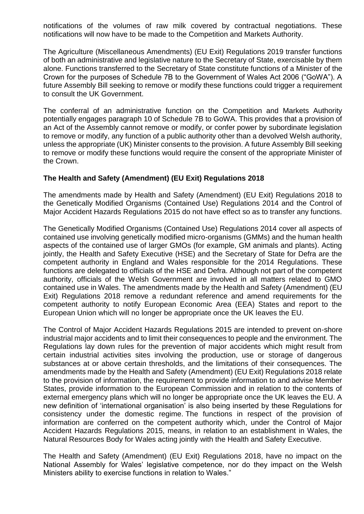notifications of the volumes of raw milk covered by contractual negotiations. These notifications will now have to be made to the Competition and Markets Authority.

The Agriculture (Miscellaneous Amendments) (EU Exit) Regulations 2019 transfer functions of both an administrative and legislative nature to the Secretary of State, exercisable by them alone. Functions transferred to the Secretary of State constitute functions of a Minister of the Crown for the purposes of Schedule 7B to the Government of Wales Act 2006 ("GoWA"). A future Assembly Bill seeking to remove or modify these functions could trigger a requirement to consult the UK Government.

The conferral of an administrative function on the Competition and Markets Authority potentially engages paragraph 10 of Schedule 7B to GoWA. This provides that a provision of an Act of the Assembly cannot remove or modify, or confer power by subordinate legislation to remove or modify, any function of a public authority other than a devolved Welsh authority, unless the appropriate (UK) Minister consents to the provision. A future Assembly Bill seeking to remove or modify these functions would require the consent of the appropriate Minister of the Crown.

## **The Health and Safety (Amendment) (EU Exit) Regulations 2018**

The amendments made by Health and Safety (Amendment) (EU Exit) Regulations 2018 to the Genetically Modified Organisms (Contained Use) Regulations 2014 and the Control of Major Accident Hazards Regulations 2015 do not have effect so as to transfer any functions.

The Genetically Modified Organisms (Contained Use) Regulations 2014 cover all aspects of contained use involving genetically modified micro-organisms (GMMs) and the human health aspects of the contained use of larger GMOs (for example, GM animals and plants). Acting jointly, the Health and Safety Executive (HSE) and the Secretary of State for Defra are the competent authority in England and Wales responsible for the 2014 Regulations. These functions are delegated to officials of the HSE and Defra. Although not part of the competent authority, officials of the Welsh Government are involved in all matters related to GMO contained use in Wales. The amendments made by the Health and Safety (Amendment) (EU Exit) Regulations 2018 remove a redundant reference and amend requirements for the competent authority to notify European Economic Area (EEA) States and report to the European Union which will no longer be appropriate once the UK leaves the EU.

The Control of Major Accident Hazards Regulations 2015 are intended to prevent on-shore industrial major accidents and to limit their consequences to people and the environment. The Regulations lay down rules for the prevention of major accidents which might result from certain industrial activities sites involving the production, use or storage of dangerous substances at or above certain thresholds, and the limitations of their consequences. The amendments made by the Health and Safety (Amendment) (EU Exit) Regulations 2018 relate to the provision of information, the requirement to provide information to and advise Member States, provide information to the European Commission and in relation to the contents of external emergency plans which will no longer be appropriate once the UK leaves the EU. A new definition of 'international organisation' is also being inserted by these Regulations for consistency under the domestic regime. The functions in respect of the provision of information are conferred on the competent authority which, under the Control of Major Accident Hazards Regulations 2015, means, in relation to an establishment in Wales, the Natural Resources Body for Wales acting jointly with the Health and Safety Executive.

The Health and Safety (Amendment) (EU Exit) Regulations 2018, have no impact on the National Assembly for Wales' legislative competence, nor do they impact on the Welsh Ministers ability to exercise functions in relation to Wales."